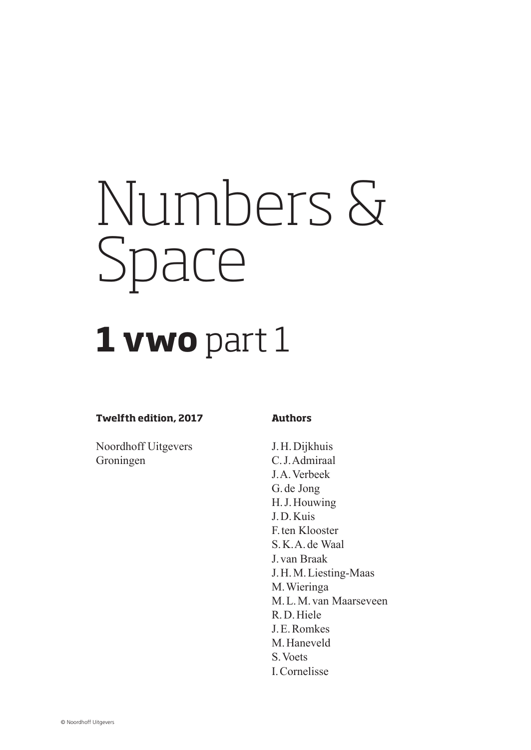# Numbers & Space

# **1 vwo** part 1

#### **Twelfth edition, 2017**

**Authors**

Noordhoff Uitgevers Groningen

J.H.Dijkhuis C.J.Admiraal J.A.Verbeek G. de Jong H.J.Houwing J.D.Kuis F.ten Klooster S.K.A. de Waal J.van Braak J.H.M.Liesting-Maas M.Wieringa M.L.M.van Maarseveen R.D.Hiele J.E.Romkes M.Haneveld S.Voets I.Cornelisse